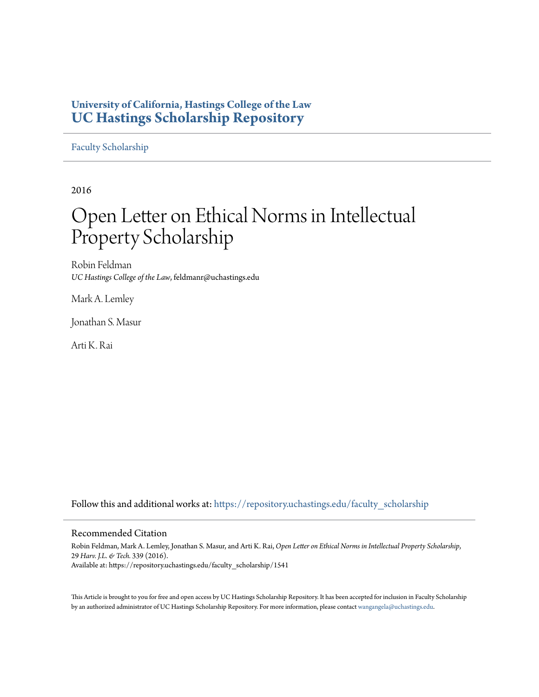## **University of California, Hastings College of the Law [UC Hastings Scholarship Repository](https://repository.uchastings.edu?utm_source=repository.uchastings.edu%2Ffaculty_scholarship%2F1541&utm_medium=PDF&utm_campaign=PDFCoverPages)**

[Faculty Scholarship](https://repository.uchastings.edu/faculty_scholarship?utm_source=repository.uchastings.edu%2Ffaculty_scholarship%2F1541&utm_medium=PDF&utm_campaign=PDFCoverPages)

2016

# Open Letter on Ethical Norms in Intellectual Property Scholarship

Robin Feldman *UC Hastings College of the Law*, feldmanr@uchastings.edu

Mark A. Lemley

Jonathan S. Masur

Arti K. Rai

Follow this and additional works at: [https://repository.uchastings.edu/faculty\\_scholarship](https://repository.uchastings.edu/faculty_scholarship?utm_source=repository.uchastings.edu%2Ffaculty_scholarship%2F1541&utm_medium=PDF&utm_campaign=PDFCoverPages)

#### Recommended Citation

Robin Feldman, Mark A. Lemley, Jonathan S. Masur, and Arti K. Rai, *Open Letter on Ethical Norms in Intellectual Property Scholarship*, 29 *Harv. J.L. & Tech.* 339 (2016). Available at: https://repository.uchastings.edu/faculty\_scholarship/1541

This Article is brought to you for free and open access by UC Hastings Scholarship Repository. It has been accepted for inclusion in Faculty Scholarship by an authorized administrator of UC Hastings Scholarship Repository. For more information, please contact [wangangela@uchastings.edu](mailto:wangangela@uchastings.edu).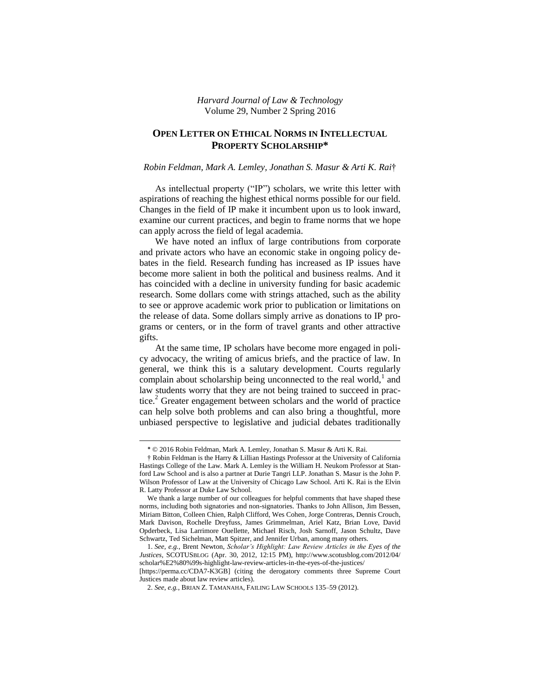*Harvard Journal of Law & Technology* Volume 29, Number 2 Spring 2016

### **OPEN LETTER ON ETHICAL NORMS IN INTELLECTUAL PROPERTY SCHOLARSHIP\***

#### *Robin Feldman, Mark A. Lemley, Jonathan S. Masur & Arti K. Rai*†

As intellectual property ("IP") scholars, we write this letter with aspirations of reaching the highest ethical norms possible for our field. Changes in the field of IP make it incumbent upon us to look inward, examine our current practices, and begin to frame norms that we hope can apply across the field of legal academia.

We have noted an influx of large contributions from corporate and private actors who have an economic stake in ongoing policy debates in the field. Research funding has increased as IP issues have become more salient in both the political and business realms. And it has coincided with a decline in university funding for basic academic research. Some dollars come with strings attached, such as the ability to see or approve academic work prior to publication or limitations on the release of data. Some dollars simply arrive as donations to IP programs or centers, or in the form of travel grants and other attractive gifts.

At the same time, IP scholars have become more engaged in policy advocacy, the writing of amicus briefs, and the practice of law. In general, we think this is a salutary development. Courts regularly complain about scholarship being unconnected to the real world, $<sup>1</sup>$  and</sup> law students worry that they are not being trained to succeed in practice.<sup>2</sup> Greater engagement between scholars and the world of practice can help solve both problems and can also bring a thoughtful, more unbiased perspective to legislative and judicial debates traditionally

<sup>\*</sup> © 2016 Robin Feldman, Mark A. Lemley, Jonathan S. Masur & Arti K. Rai.

<sup>†</sup> Robin Feldman is the Harry & Lillian Hastings Professor at the University of California Hastings College of the Law. Mark A. Lemley is the William H. Neukom Professor at Stanford Law School and is also a partner at Durie Tangri LLP. Jonathan S. Masur is the John P. Wilson Professor of Law at the University of Chicago Law School. Arti K. Rai is the Elvin R. Latty Professor at Duke Law School.

We thank a large number of our colleagues for helpful comments that have shaped these norms, including both signatories and non-signatories. Thanks to John Allison, Jim Bessen, Miriam Bitton, Colleen Chien, Ralph Clifford, Wes Cohen, Jorge Contreras, Dennis Crouch, Mark Davison, Rochelle Dreyfuss, James Grimmelman, Ariel Katz, Brian Love, David Opderbeck, Lisa Larrimore Ouellette, Michael Risch, Josh Sarnoff, Jason Schultz, Dave Schwartz, Ted Sichelman, Matt Spitzer, and Jennifer Urban, among many others.

<sup>1.</sup> *See, e.g.*, Brent Newton, *Scholar's Highlight: Law Review Articles in the Eyes of the Justices*, SCOTUSBLOG (Apr. 30, 2012, 12:15 PM), http://www.scotusblog.com/2012/04/ scholar%E2%80%99s-highlight-law-review-articles-in-the-eyes-of-the-justices/

<sup>[</sup>https://perma.cc/CDA7-K3GB] (citing the derogatory comments three Supreme Court Justices made about law review articles).

<sup>2.</sup> *See, e.g.*, BRIAN Z. TAMANAHA, FAILING LAW SCHOOLS 135–59 (2012).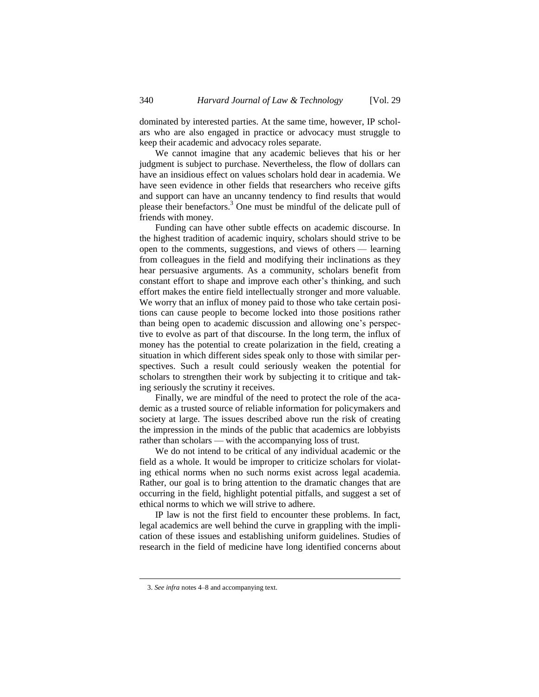dominated by interested parties. At the same time, however, IP scholars who are also engaged in practice or advocacy must struggle to keep their academic and advocacy roles separate.

We cannot imagine that any academic believes that his or her judgment is subject to purchase. Nevertheless, the flow of dollars can have an insidious effect on values scholars hold dear in academia. We have seen evidence in other fields that researchers who receive gifts and support can have an uncanny tendency to find results that would please their benefactors.<sup>3</sup> One must be mindful of the delicate pull of friends with money.

Funding can have other subtle effects on academic discourse. In the highest tradition of academic inquiry, scholars should strive to be open to the comments, suggestions, and views of others — learning from colleagues in the field and modifying their inclinations as they hear persuasive arguments. As a community, scholars benefit from constant effort to shape and improve each other's thinking, and such effort makes the entire field intellectually stronger and more valuable. We worry that an influx of money paid to those who take certain positions can cause people to become locked into those positions rather than being open to academic discussion and allowing one's perspective to evolve as part of that discourse. In the long term, the influx of money has the potential to create polarization in the field, creating a situation in which different sides speak only to those with similar perspectives. Such a result could seriously weaken the potential for scholars to strengthen their work by subjecting it to critique and taking seriously the scrutiny it receives.

Finally, we are mindful of the need to protect the role of the academic as a trusted source of reliable information for policymakers and society at large. The issues described above run the risk of creating the impression in the minds of the public that academics are lobbyists rather than scholars — with the accompanying loss of trust.

We do not intend to be critical of any individual academic or the field as a whole. It would be improper to criticize scholars for violating ethical norms when no such norms exist across legal academia. Rather, our goal is to bring attention to the dramatic changes that are occurring in the field, highlight potential pitfalls, and suggest a set of ethical norms to which we will strive to adhere.

IP law is not the first field to encounter these problems. In fact, legal academics are well behind the curve in grappling with the implication of these issues and establishing uniform guidelines. Studies of research in the field of medicine have long identified concerns about

l

<sup>3.</sup> *See infra* note[s 4](#page-3-0)[–8](#page-3-1) and accompanying text.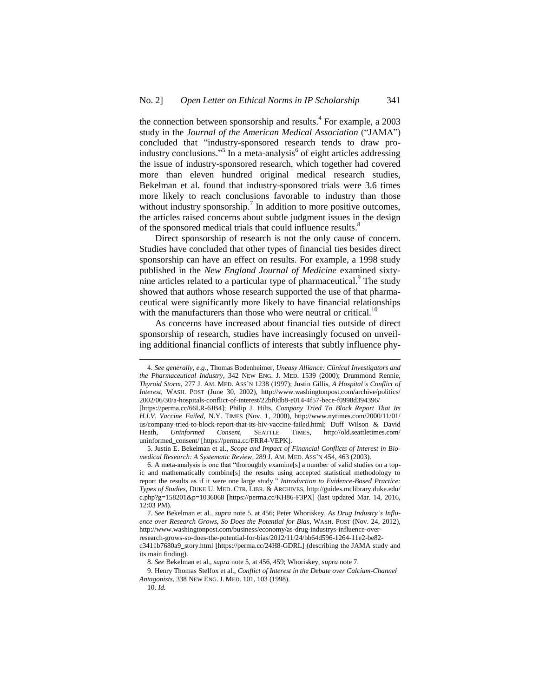<span id="page-3-2"></span><span id="page-3-0"></span>the connection between sponsorship and results.<sup>4</sup> For example, a  $2003$ study in the *Journal of the American Medical Association* ("JAMA") concluded that "industry-sponsored research tends to draw proindustry conclusions."<sup>5</sup> In a meta-analysis<sup>6</sup> of eight articles addressing the issue of industry-sponsored research, which together had covered more than eleven hundred original medical research studies, Bekelman et al. found that industry-sponsored trials were 3.6 times more likely to reach conclusions favorable to industry than those without industry sponsorship.<sup>7</sup> In addition to more positive outcomes, the articles raised concerns about subtle judgment issues in the design of the sponsored medical trials that could influence results.<sup>8</sup>

<span id="page-3-3"></span><span id="page-3-1"></span>Direct sponsorship of research is not the only cause of concern. Studies have concluded that other types of financial ties besides direct sponsorship can have an effect on results. For example, a 1998 study published in the *New England Journal of Medicine* examined sixtynine articles related to a particular type of pharmaceutical.<sup>9</sup> The study showed that authors whose research supported the use of that pharmaceutical were significantly more likely to have financial relationships with the manufacturers than those who were neutral or critical.<sup>10</sup>

As concerns have increased about financial ties outside of direct sponsorship of research, studies have increasingly focused on unveiling additional financial conflicts of interests that subtly influence phy-

<sup>4.</sup> *See generally, e.g.*, Thomas Bodenheimer, *Uneasy Alliance: Clinical Investigators and the Pharmaceutical Industry*, 342 NEW ENG. J. MED. 1539 (2000); Drummond Rennie, *Thyroid Storm*, 277 J. AM. MED. ASS'N 1238 (1997); Justin Gillis, *A Hospital's Conflict of Interest*, WASH. POST (June 30, 2002), http://www.washingtonpost.com/archive/politics/ 2002/06/30/a-hospitals-conflict-of-interest/22bf0db8-e014-4f57-bece-f0998d394396/ [https://perma.cc/66LR-6JB4]; Philip J. Hilts, *Company Tried To Block Report That Its H.I.V. Vaccine Failed*, N.Y. TIMES (Nov. 1, 2000), http://www.nytimes.com/2000/11/01/ us/company-tried-to-block-report-that-its-hiv-vaccine-failed.html; Duff Wilson & David Heath, *Uninformed Consent*, SEATTLE TIMES, http://old.seattletimes.com/

uninformed\_consent/ [https://perma.cc/FRR4-VEPK]. 5. Justin E. Bekelman et al., *Scope and Impact of Financial Conflicts of Interest in Biomedical Research: A Systematic Review*, 289 J. AM. MED. ASS'N 454, 463 (2003).

<sup>6.</sup> A meta-analysis is one that "thoroughly examine[s] a number of valid studies on a topic and mathematically combine[s] the results using accepted statistical methodology to report the results as if it were one large study." *Introduction to Evidence-Based Practice: Types of Studies*, DUKE U. MED. CTR. LIBR. & ARCHIVES, http://guides.mclibrary.duke.edu/ c.php?g=158201&p=1036068 [https://perma.cc/KH86-F3PX] (last updated Mar. 14, 2016, 12:03 PM).

<sup>7.</sup> *See* Bekelman et al., *supra* note [5,](#page-3-2) at 456; Peter Whoriskey, *As Drug Industry's Influence over Research Grows, So Does the Potential for Bias*, WASH. POST (Nov. 24, 2012), http://www.washingtonpost.com/business/economy/as-drug-industrys-influence-overresearch-grows-so-does-the-potential-for-bias/2012/11/24/bb64d596-1264-11e2-be82 c3411b7680a9\_story.html [https://perma.cc/24H8-GDRL] (describing the JAMA study and its main finding).

<sup>8.</sup> *See* Bekelman et al., *supra* not[e 5,](#page-3-2) at 456, 459; Whoriskey, *supra* not[e 7.](#page-3-3)

<sup>9.</sup> Henry Thomas Stelfox et al., *Conflict of Interest in the Debate over Calcium-Channel Antagonists*, 338 NEW ENG. J. MED. 101, 103 (1998).

<sup>10.</sup> *Id.*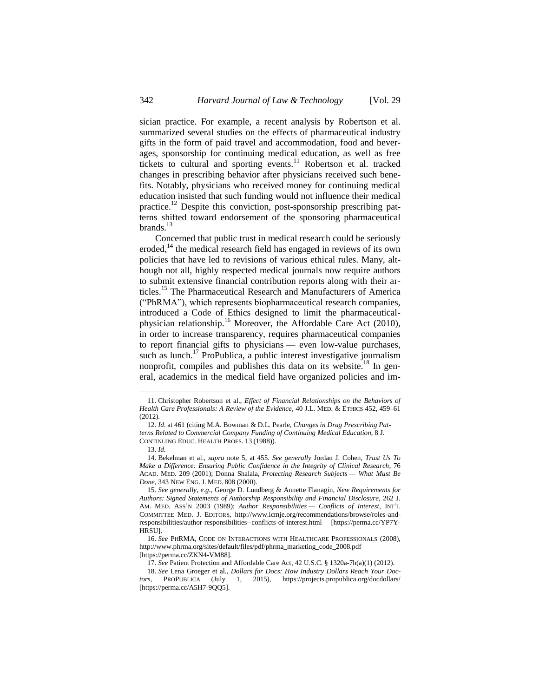sician practice. For example, a recent analysis by Robertson et al. summarized several studies on the effects of pharmaceutical industry gifts in the form of paid travel and accommodation, food and beverages, sponsorship for continuing medical education, as well as free tickets to cultural and sporting events.<sup>11</sup> Robertson et al. tracked changes in prescribing behavior after physicians received such benefits. Notably, physicians who received money for continuing medical education insisted that such funding would not influence their medical practice.<sup>12</sup> Despite this conviction, post-sponsorship prescribing patterns shifted toward endorsement of the sponsoring pharmaceutical brands. $^{13}$ 

Concerned that public trust in medical research could be seriously eroded,<sup>14</sup> the medical research field has engaged in reviews of its own policies that have led to revisions of various ethical rules. Many, although not all, highly respected medical journals now require authors to submit extensive financial contribution reports along with their articles.<sup>15</sup> The Pharmaceutical Research and Manufacturers of America ("PhRMA"), which represents biopharmaceutical research companies, introduced a Code of Ethics designed to limit the pharmaceuticalphysician relationship.<sup>16</sup> Moreover, the Affordable Care Act (2010), in order to increase transparency, requires pharmaceutical companies to report financial gifts to physicians — even low-value purchases, such as lunch.<sup>17</sup> ProPublica, a public interest investigative journalism nonprofit, compiles and publishes this data on its website.<sup>18</sup> In general, academics in the medical field have organized policies and im-

<sup>11.</sup> Christopher Robertson et al., *Effect of Financial Relationships on the Behaviors of Health Care Professionals: A Review of the Evidence*, 40 J.L. MED. & ETHICS 452, 459–61 (2012).

<sup>12.</sup> *Id*. at 461 (citing M.A. Bowman & D.L. Pearle, *Changes in Drug Prescribing Patterns Related to Commercial Company Funding of Continuing Medical Education*, 8 J. CONTINUING EDUC. HEALTH PROFS. 13 (1988)).

<sup>13.</sup> *Id*.

<sup>14.</sup> Bekelman et al., *supra* note [5,](#page-3-2) at 455. *See generally* Jordan J. Cohen, *Trust Us To Make a Difference: Ensuring Public Confidence in the Integrity of Clinical Research*, 76 ACAD. MED. 209 (2001); Donna Shalala, *Protecting Research Subjects — What Must Be Done*, 343 NEW ENG. J. MED. 808 (2000).

<sup>15.</sup> *See generally, e.g.*, George D. Lundberg & Annette Flanagin, *New Requirements for Authors: Signed Statements of Authorship Responsibility and Financial Disclosure*, 262 J. AM. MED. ASS'N 2003 (1989); *Author Responsibilities — Conflicts of Interest*, INT'L COMMITTEE MED. J. EDITORS, http://www.icmje.org/recommendations/browse/roles-andresponsibilities/author-responsibilities--conflicts-of-interest.html [https://perma.cc/YP7Y-**HRSUL** 

<sup>16.</sup> *See* PHRMA, CODE ON INTERACTIONS WITH HEALTHCARE PROFESSIONALS (2008), http://www.phrma.org/sites/default/files/pdf/phrma\_marketing\_code\_2008.pdf [https://perma.cc/ZKN4-VM88].

<sup>17.</sup> *See* Patient Protection and Affordable Care Act, 42 U.S.C. § 1320a-7h(a)(1) (2012).

<sup>18.</sup> *See* Lena Groeger et al., *Dollars for Docs: How Industry Dollars Reach Your Doctors*, PROPUBLICA (July 1, 2015), https://projects.propublica.org/docdollars/ [https://perma.cc/A5H7-9OO5].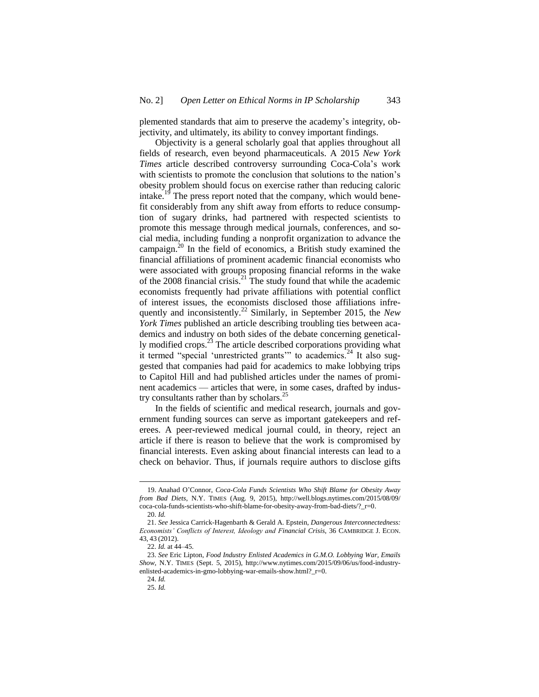plemented standards that aim to preserve the academy's integrity, objectivity, and ultimately, its ability to convey important findings.

Objectivity is a general scholarly goal that applies throughout all fields of research, even beyond pharmaceuticals. A 2015 *New York Times* article described controversy surrounding Coca-Cola's work with scientists to promote the conclusion that solutions to the nation's obesity problem should focus on exercise rather than reducing caloric intake.<sup>19</sup> The press report noted that the company, which would benefit considerably from any shift away from efforts to reduce consumption of sugary drinks, had partnered with respected scientists to promote this message through medical journals, conferences, and social media, including funding a nonprofit organization to advance the campaign.<sup>20</sup> In the field of economics, a British study examined the financial affiliations of prominent academic financial economists who were associated with groups proposing financial reforms in the wake of the 2008 financial crisis.<sup>21</sup> The study found that while the academic economists frequently had private affiliations with potential conflict of interest issues, the economists disclosed those affiliations infrequently and inconsistently.<sup>22</sup> Similarly, in September 2015, the *New York Times* published an article describing troubling ties between academics and industry on both sides of the debate concerning genetically modified crops.<sup>23</sup> The article described corporations providing what it termed "special 'unrestricted grants'" to academics.<sup>24</sup> It also suggested that companies had paid for academics to make lobbying trips to Capitol Hill and had published articles under the names of prominent academics — articles that were, in some cases, drafted by industry consultants rather than by scholars. $^{25}$ 

In the fields of scientific and medical research, journals and government funding sources can serve as important gatekeepers and referees. A peer-reviewed medical journal could, in theory, reject an article if there is reason to believe that the work is compromised by financial interests. Even asking about financial interests can lead to a check on behavior. Thus, if journals require authors to disclose gifts

<sup>19.</sup> Anahad O'Connor, *Coca-Cola Funds Scientists Who Shift Blame for Obesity Away from Bad Diets*, N.Y. TIMES (Aug. 9, 2015), http://well.blogs.nytimes.com/2015/08/09/ coca-cola-funds-scientists-who-shift-blame-for-obesity-away-from-bad-diets/?\_r=0.

<sup>20.</sup> *Id.*

<sup>21.</sup> *See* Jessica Carrick-Hagenbarth & Gerald A. Epstein, *Dangerous Interconnectedness: Economists' Conflicts of Interest, Ideology and Financial Crisis*, 36 CAMBRIDGE J. ECON. 43, 43 (2012).

<sup>22.</sup> *Id.* at 44–45.

<sup>23.</sup> *See* Eric Lipton, *Food Industry Enlisted Academics in G.M.O. Lobbying War, Emails Show*, N.Y. TIMES (Sept. 5, 2015), http://www.nytimes.com/2015/09/06/us/food-industryenlisted-academics-in-gmo-lobbying-war-emails-show.html?\_r=0.

<sup>24.</sup> *Id.*

<sup>25.</sup> *Id.*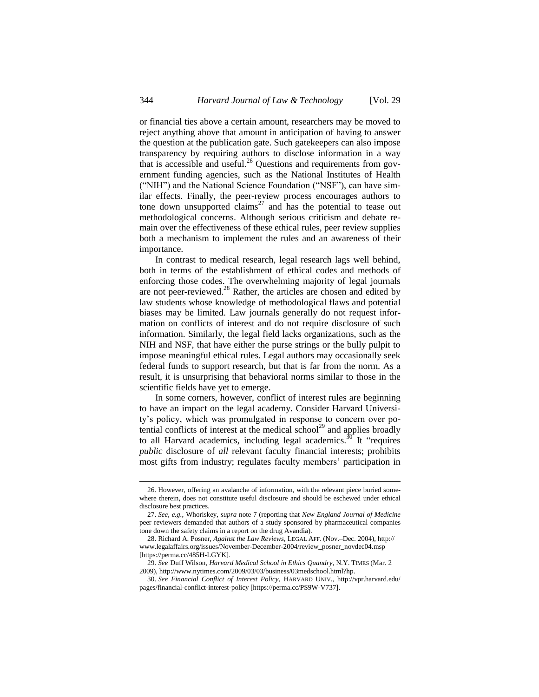or financial ties above a certain amount, researchers may be moved to reject anything above that amount in anticipation of having to answer the question at the publication gate. Such gatekeepers can also impose transparency by requiring authors to disclose information in a way that is accessible and useful.<sup>26</sup> Questions and requirements from government funding agencies, such as the National Institutes of Health ("NIH") and the National Science Foundation ("NSF"), can have similar effects. Finally, the peer-review process encourages authors to tone down unsupported claims<sup>27</sup> and has the potential to tease out methodological concerns. Although serious criticism and debate remain over the effectiveness of these ethical rules, peer review supplies both a mechanism to implement the rules and an awareness of their importance.

In contrast to medical research, legal research lags well behind, both in terms of the establishment of ethical codes and methods of enforcing those codes. The overwhelming majority of legal journals are not peer-reviewed. $^{28}$  Rather, the articles are chosen and edited by law students whose knowledge of methodological flaws and potential biases may be limited. Law journals generally do not request information on conflicts of interest and do not require disclosure of such information. Similarly, the legal field lacks organizations, such as the NIH and NSF, that have either the purse strings or the bully pulpit to impose meaningful ethical rules. Legal authors may occasionally seek federal funds to support research, but that is far from the norm. As a result, it is unsurprising that behavioral norms similar to those in the scientific fields have yet to emerge.

In some corners, however, conflict of interest rules are beginning to have an impact on the legal academy. Consider Harvard University's policy, which was promulgated in response to concern over potential conflicts of interest at the medical school<sup>29</sup> and applies broadly to all Harvard academics, including legal academics.<sup>30</sup> It "requires *public* disclosure of *all* relevant faculty financial interests; prohibits most gifts from industry; regulates faculty members' participation in

<sup>26.</sup> However, offering an avalanche of information, with the relevant piece buried somewhere therein, does not constitute useful disclosure and should be eschewed under ethical disclosure best practices.

<sup>27.</sup> *See, e.g.*, Whoriskey, *supra* not[e 7](#page-3-3) (reporting that *New England Journal of Medicine* peer reviewers demanded that authors of a study sponsored by pharmaceutical companies tone down the safety claims in a report on the drug Avandia).

<sup>28.</sup> Richard A. Posner, *Against the Law Reviews*, LEGAL AFF. (Nov.–Dec. 2004), http:// www.legalaffairs.org/issues/November-December-2004/review\_posner\_novdec04.msp [https://perma.cc/485H-LGYK].

<sup>29.</sup> *See* Duff Wilson, *Harvard Medical School in Ethics Quandry*, N.Y. TIMES (Mar. 2 2009), http://www.nytimes.com/2009/03/03/business/03medschool.html?hp.

<sup>30.</sup> *See Financial Conflict of Interest Policy*, HARVARD UNIV., http://vpr.harvard.edu/ pages/financial-conflict-interest-policy [https://perma.cc/PS9W-V737].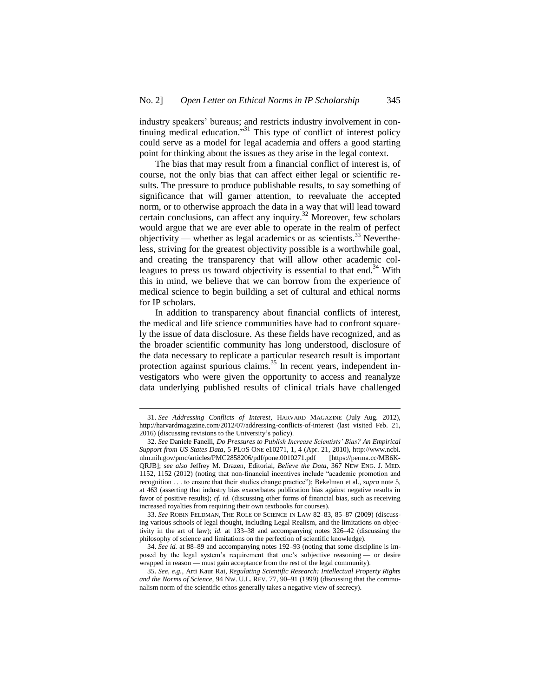industry speakers' bureaus; and restricts industry involvement in continuing medical education." <sup>31</sup> This type of conflict of interest policy could serve as a model for legal academia and offers a good starting point for thinking about the issues as they arise in the legal context.

The bias that may result from a financial conflict of interest is, of course, not the only bias that can affect either legal or scientific results. The pressure to produce publishable results, to say something of significance that will garner attention, to reevaluate the accepted norm, or to otherwise approach the data in a way that will lead toward certain conclusions, can affect any inquiry.<sup>32</sup> Moreover, few scholars would argue that we are ever able to operate in the realm of perfect objectivity — whether as legal academics or as scientists.<sup>33</sup> Nevertheless, striving for the greatest objectivity possible is a worthwhile goal, and creating the transparency that will allow other academic colleagues to press us toward objectivity is essential to that end.<sup>34</sup> With this in mind, we believe that we can borrow from the experience of medical science to begin building a set of cultural and ethical norms for IP scholars.

In addition to transparency about financial conflicts of interest, the medical and life science communities have had to confront squarely the issue of data disclosure. As these fields have recognized, and as the broader scientific community has long understood, disclosure of the data necessary to replicate a particular research result is important protection against spurious claims.<sup>35</sup> In recent years, independent investigators who were given the opportunity to access and reanalyze data underlying published results of clinical trials have challenged

<sup>31.</sup> *See Addressing Conflicts of Interest*, HARVARD MAGAZINE (July–Aug. 2012), http://harvardmagazine.com/2012/07/addressing-conflicts-of-interest (last visited Feb. 21, 2016) (discussing revisions to the University's policy).

<sup>32.</sup> *See* Daniele Fanelli, *Do Pressures to Publish Increase Scientists' Bias? An Empirical Support from US States Data*, 5 PLOS ONE e10271, 1, 4 (Apr. 21, 2010), http://www.ncbi. nlm.nih.gov/pmc/articles/PMC2858206/pdf/pone.0010271.pdf [https://perma.cc/MB6K-QRJB]; *see also* Jeffrey M. Drazen, Editorial, *Believe the Data*, 367 NEW ENG. J. MED. 1152, 1152 (2012) (noting that non-financial incentives include "academic promotion and recognition . . . to ensure that their studies change practice"); Bekelman et al., *supra* not[e 5,](#page-3-2) at 463 (asserting that industry bias exacerbates publication bias against negative results in favor of positive results); *cf. id.* (discussing other forms of financial bias, such as receiving increased royalties from requiring their own textbooks for courses).

<sup>33.</sup> *See* ROBIN FELDMAN, THE ROLE OF SCIENCE IN LAW 82–83, 85–87 (2009) (discussing various schools of legal thought, including Legal Realism, and the limitations on objectivity in the art of law); *id.* at 133–38 and accompanying notes 326–42 (discussing the philosophy of science and limitations on the perfection of scientific knowledge).

<sup>34.</sup> *See id.* at 88–89 and accompanying notes 192–93 (noting that some discipline is imposed by the legal system's requirement that one's subjective reasoning — or desire wrapped in reason — must gain acceptance from the rest of the legal community).

<sup>35.</sup> *See, e.g.*, Arti Kaur Rai, *Regulating Scientific Research: Intellectual Property Rights and the Norms of Science*, 94 NW. U.L. REV. 77, 90–91 (1999) (discussing that the communalism norm of the scientific ethos generally takes a negative view of secrecy).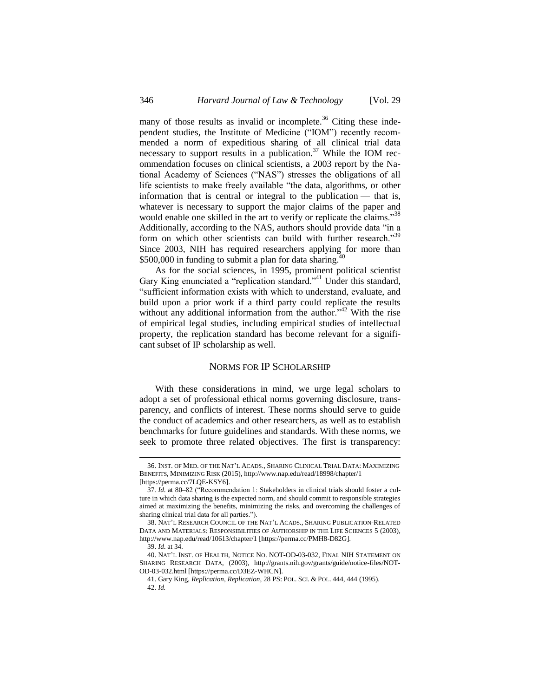many of those results as invalid or incomplete.<sup>36</sup> Citing these independent studies, the Institute of Medicine ("IOM") recently recommended a norm of expeditious sharing of all clinical trial data necessary to support results in a publication.<sup>37</sup> While the IOM recommendation focuses on clinical scientists, a 2003 report by the National Academy of Sciences ("NAS") stresses the obligations of all life scientists to make freely available "the data, algorithms, or other information that is central or integral to the publication — that is, whatever is necessary to support the major claims of the paper and would enable one skilled in the art to verify or replicate the claims."<sup>38</sup> Additionally, according to the NAS, authors should provide data "in a form on which other scientists can build with further research."<sup>39</sup> Since 2003, NIH has required researchers applying for more than  $$500,000$  in funding to submit a plan for data sharing.

As for the social sciences, in 1995, prominent political scientist Gary King enunciated a "replication standard."<sup>41</sup> Under this standard, "sufficient information exists with which to understand, evaluate, and build upon a prior work if a third party could replicate the results without any additional information from the author."<sup>42</sup> With the rise of empirical legal studies, including empirical studies of intellectual property, the replication standard has become relevant for a significant subset of IP scholarship as well.

#### NORMS FOR IP SCHOLARSHIP

With these considerations in mind, we urge legal scholars to adopt a set of professional ethical norms governing disclosure, transparency, and conflicts of interest. These norms should serve to guide the conduct of academics and other researchers, as well as to establish benchmarks for future guidelines and standards. With these norms, we seek to promote three related objectives. The first is transparency:

l

<sup>36.</sup> INST. OF MED. OF THE NAT'L ACADS., SHARING CLINICAL TRIAL DATA: MAXIMIZING BENEFITS, MINIMIZING RISK (2015), http://www.nap.edu/read/18998/chapter/1 [https://perma.cc/7LQE-KSY6].

<sup>37</sup>*. Id*. at 80–82 ("Recommendation 1: Stakeholders in clinical trials should foster a culture in which data sharing is the expected norm, and should commit to responsible strategies aimed at maximizing the benefits, minimizing the risks, and overcoming the challenges of sharing clinical trial data for all parties.").

<sup>38.</sup> NAT'L RESEARCH COUNCIL OF THE NAT'L ACADS., SHARING PUBLICATION-RELATED DATA AND MATERIALS: RESPONSIBILITIES OF AUTHORSHIP IN THE LIFE SCIENCES 5 (2003), http://www.nap.edu/read/10613/chapter/1 [https://perma.cc/PMH8-D82G].

<sup>39.</sup> *Id*. at 34.

<sup>40.</sup> NAT'L INST. OF HEALTH, NOTICE NO. NOT-OD-03-032, FINAL NIH STATEMENT ON SHARING RESEARCH DATA, (2003), http://grants.nih.gov/grants/guide/notice-files/NOT-OD-03-032.html [https://perma.cc/D3EZ-WHCN].

<sup>41.</sup> Gary King, *Replication, Replication*, 28 PS: POL. SCI. & POL. 444, 444 (1995). 42. *Id.*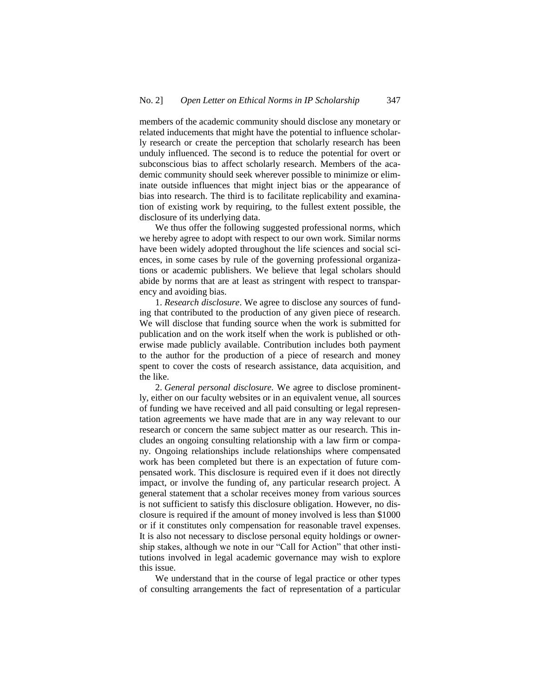members of the academic community should disclose any monetary or related inducements that might have the potential to influence scholarly research or create the perception that scholarly research has been unduly influenced. The second is to reduce the potential for overt or subconscious bias to affect scholarly research. Members of the academic community should seek wherever possible to minimize or eliminate outside influences that might inject bias or the appearance of bias into research. The third is to facilitate replicability and examination of existing work by requiring, to the fullest extent possible, the disclosure of its underlying data.

We thus offer the following suggested professional norms, which we hereby agree to adopt with respect to our own work. Similar norms have been widely adopted throughout the life sciences and social sciences, in some cases by rule of the governing professional organizations or academic publishers. We believe that legal scholars should abide by norms that are at least as stringent with respect to transparency and avoiding bias.

1. *Research disclosure*. We agree to disclose any sources of funding that contributed to the production of any given piece of research. We will disclose that funding source when the work is submitted for publication and on the work itself when the work is published or otherwise made publicly available. Contribution includes both payment to the author for the production of a piece of research and money spent to cover the costs of research assistance, data acquisition, and the like.

2. *General personal disclosure.* We agree to disclose prominently, either on our faculty websites or in an equivalent venue, all sources of funding we have received and all paid consulting or legal representation agreements we have made that are in any way relevant to our research or concern the same subject matter as our research. This includes an ongoing consulting relationship with a law firm or company. Ongoing relationships include relationships where compensated work has been completed but there is an expectation of future compensated work. This disclosure is required even if it does not directly impact, or involve the funding of, any particular research project. A general statement that a scholar receives money from various sources is not sufficient to satisfy this disclosure obligation. However, no disclosure is required if the amount of money involved is less than \$1000 or if it constitutes only compensation for reasonable travel expenses. It is also not necessary to disclose personal equity holdings or ownership stakes, although we note in our "Call for Action" that other institutions involved in legal academic governance may wish to explore this issue.

We understand that in the course of legal practice or other types of consulting arrangements the fact of representation of a particular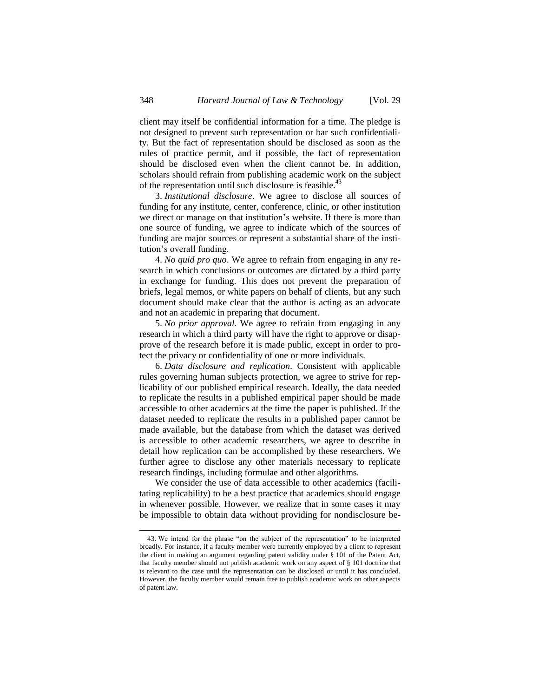client may itself be confidential information for a time. The pledge is not designed to prevent such representation or bar such confidentiality. But the fact of representation should be disclosed as soon as the rules of practice permit, and if possible, the fact of representation should be disclosed even when the client cannot be. In addition, scholars should refrain from publishing academic work on the subject of the representation until such disclosure is feasible.<sup>43</sup>

3. *Institutional disclosure*. We agree to disclose all sources of funding for any institute, center, conference, clinic, or other institution we direct or manage on that institution's website. If there is more than one source of funding, we agree to indicate which of the sources of funding are major sources or represent a substantial share of the institution's overall funding.

4. *No quid pro quo*. We agree to refrain from engaging in any research in which conclusions or outcomes are dictated by a third party in exchange for funding. This does not prevent the preparation of briefs, legal memos, or white papers on behalf of clients, but any such document should make clear that the author is acting as an advocate and not an academic in preparing that document.

5. *No prior approval.* We agree to refrain from engaging in any research in which a third party will have the right to approve or disapprove of the research before it is made public, except in order to protect the privacy or confidentiality of one or more individuals.

6. *Data disclosure and replication*. Consistent with applicable rules governing human subjects protection, we agree to strive for replicability of our published empirical research. Ideally, the data needed to replicate the results in a published empirical paper should be made accessible to other academics at the time the paper is published. If the dataset needed to replicate the results in a published paper cannot be made available, but the database from which the dataset was derived is accessible to other academic researchers, we agree to describe in detail how replication can be accomplished by these researchers. We further agree to disclose any other materials necessary to replicate research findings, including formulae and other algorithms.

We consider the use of data accessible to other academics (facilitating replicability) to be a best practice that academics should engage in whenever possible. However, we realize that in some cases it may be impossible to obtain data without providing for nondisclosure be-

<sup>43.</sup> We intend for the phrase "on the subject of the representation" to be interpreted broadly. For instance, if a faculty member were currently employed by a client to represent the client in making an argument regarding patent validity under § 101 of the Patent Act, that faculty member should not publish academic work on any aspect of § 101 doctrine that is relevant to the case until the representation can be disclosed or until it has concluded. However, the faculty member would remain free to publish academic work on other aspects of patent law.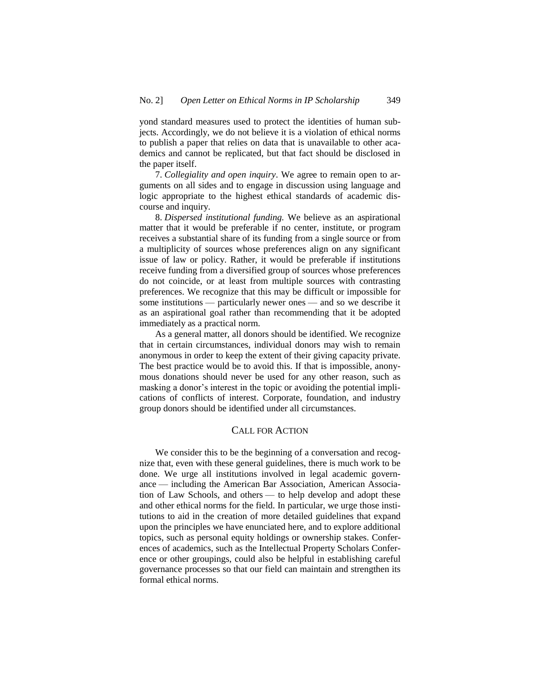yond standard measures used to protect the identities of human subjects. Accordingly, we do not believe it is a violation of ethical norms to publish a paper that relies on data that is unavailable to other academics and cannot be replicated, but that fact should be disclosed in the paper itself.

7. *Collegiality and open inquiry*. We agree to remain open to arguments on all sides and to engage in discussion using language and logic appropriate to the highest ethical standards of academic discourse and inquiry.

8. *Dispersed institutional funding.* We believe as an aspirational matter that it would be preferable if no center, institute, or program receives a substantial share of its funding from a single source or from a multiplicity of sources whose preferences align on any significant issue of law or policy. Rather, it would be preferable if institutions receive funding from a diversified group of sources whose preferences do not coincide, or at least from multiple sources with contrasting preferences. We recognize that this may be difficult or impossible for some institutions — particularly newer ones — and so we describe it as an aspirational goal rather than recommending that it be adopted immediately as a practical norm.

As a general matter, all donors should be identified. We recognize that in certain circumstances, individual donors may wish to remain anonymous in order to keep the extent of their giving capacity private. The best practice would be to avoid this. If that is impossible, anonymous donations should never be used for any other reason, such as masking a donor's interest in the topic or avoiding the potential implications of conflicts of interest. Corporate, foundation, and industry group donors should be identified under all circumstances.

#### CALL FOR ACTION

We consider this to be the beginning of a conversation and recognize that, even with these general guidelines, there is much work to be done. We urge all institutions involved in legal academic governance — including the American Bar Association, American Association of Law Schools, and others — to help develop and adopt these and other ethical norms for the field. In particular, we urge those institutions to aid in the creation of more detailed guidelines that expand upon the principles we have enunciated here, and to explore additional topics, such as personal equity holdings or ownership stakes. Conferences of academics, such as the Intellectual Property Scholars Conference or other groupings, could also be helpful in establishing careful governance processes so that our field can maintain and strengthen its formal ethical norms.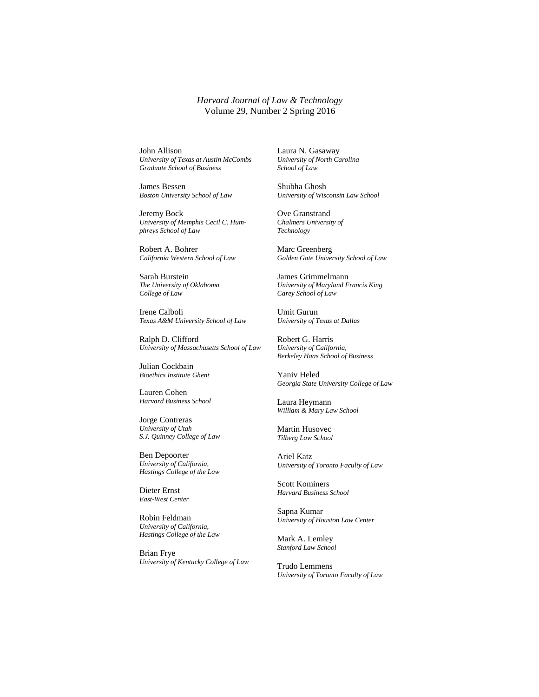*Harvard Journal of Law & Technology* Volume 29, Number 2 Spring 2016

John Allison *University of Texas at Austin McCombs Graduate School of Business*

James Bessen *Boston University School of Law*

Jeremy Bock *University of Memphis Cecil C. Humphreys School of Law*

Robert A. Bohrer *California Western School of Law*

Sarah Burstein *The University of Oklahoma College of Law*

Irene Calboli *Texas A&M University School of Law*

Ralph D. Clifford *University of Massachusetts School of Law*

Julian Cockbain *Bioethics Institute Ghent*

Lauren Cohen *Harvard Business School*

Jorge Contreras *University of Utah S.J. Quinney College of Law*

Ben Depoorter *University of California, Hastings College of the Law*

Dieter Ernst *East-West Center*

Robin Feldman *University of California, Hastings College of the Law*

Brian Frye *University of Kentucky College of Law* Laura N. Gasaway *University of North Carolina School of Law*

Shubha Ghosh *University of Wisconsin Law School*

Ove Granstrand *Chalmers University of Technology*

Marc Greenberg *Golden Gate University School of Law*

James Grimmelmann *University of Maryland Francis King Carey School of Law*

Umit Gurun *University of Texas at Dallas* 

Robert G. Harris *University of California, Berkeley Haas School of Business*

Yaniv Heled *Georgia State University College of Law*

Laura Heymann *William & Mary Law School*

Martin Husovec *Tilberg Law School*

Ariel Katz *University of Toronto Faculty of Law*

Scott Kominers *Harvard Business School*

Sapna Kumar *University of Houston Law Center*

Mark A. Lemley *Stanford Law School*

Trudo Lemmens *University of Toronto Faculty of Law*